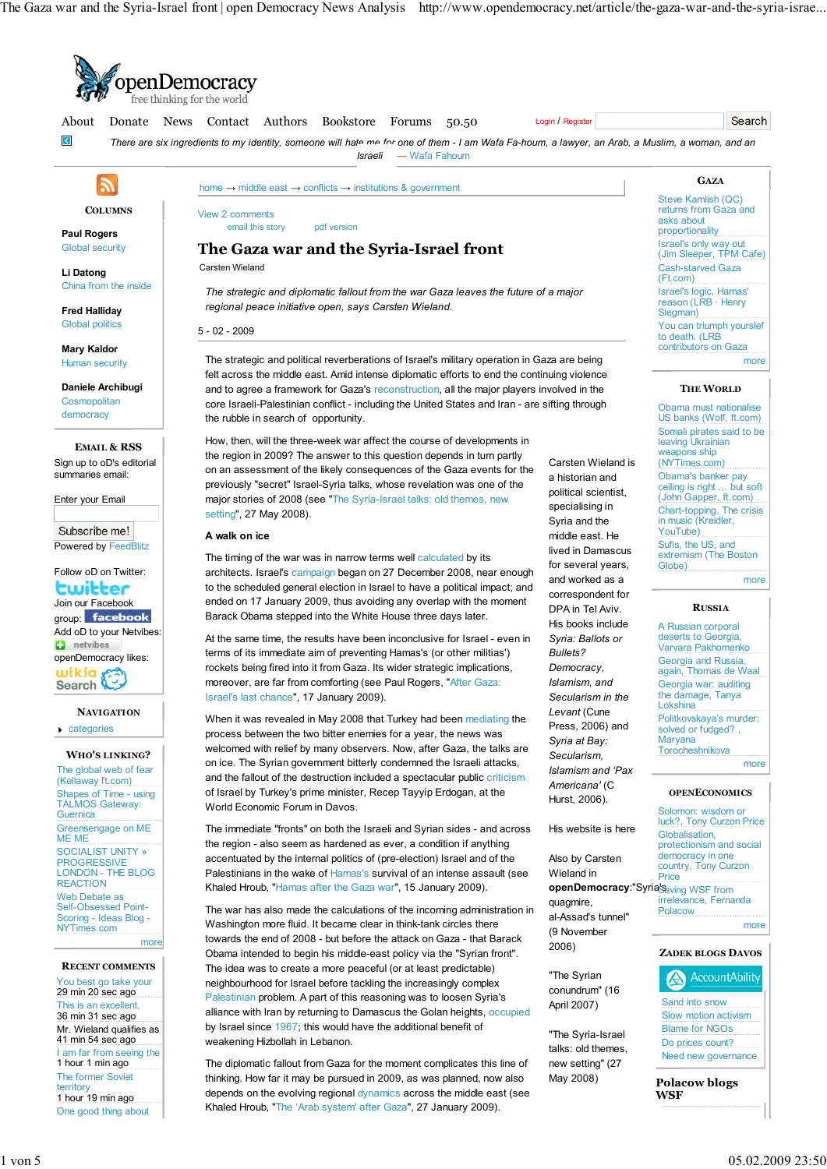

The diplomatic fallout from Gaza for the moment complicates this line of thinking. How far it may be pursued in 2009, as was planned, now also depends on the evolving regional dynamics across the middle east (see Khaled Hroub, "The 'Arab system' after Gaza", 27 January 2009).

May 2008)

The former Soviet territory 1 hour 19 min ago One good thing about

**Polacow blogs**

**WSF**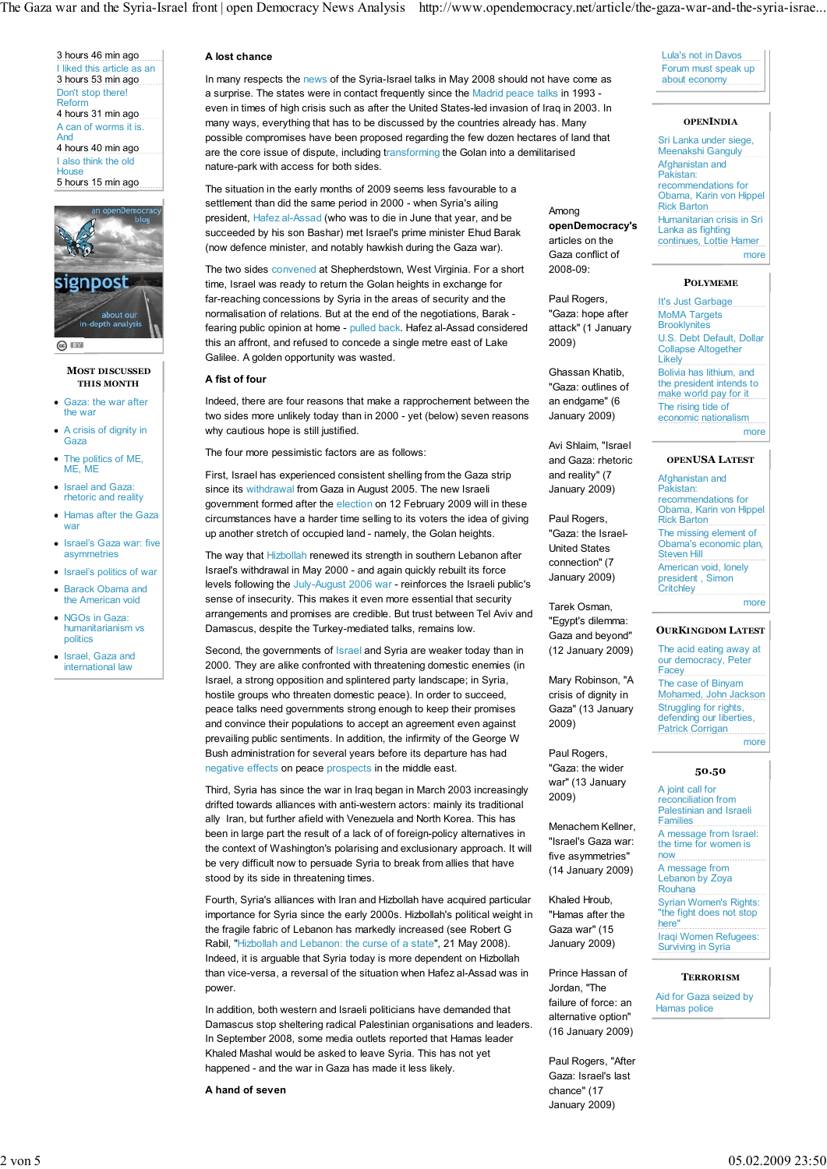The Gaza war and the Syria-Israel front | open Democracy News Analysis http://www.opendemocracy.net/article/the-gaza-war-and-the-syria-israe...

3 hours 46 min ago I liked this article as an 3 hours 53 min ago Don't stop there! Reform 4 hours 31 min ago A can of worms it is. And 4 hours 40 min ago I also think the old  $_{\text{ouse}}$ 5 hours 15 min ago



 $\odot$   $\Box$ 

### **MOST DISCUSSED THIS MONTH**

- Gaza: the war after the war
- A crisis of dignity in Gaza
- The politics of ME,  $ME$ , ME
- Israel and Gaza rhetoric and reality
- Hamas after the Gaza war
- Israel's Gaza war: five asymmetries
- Israel's politics of war
- Barack Obama and the American void
- NGOs in Gaza: humanitarianism vs politics
- Israel, Gaza and international law

# **A lost chance**

In many respects the news of the Syria-Israel talks in May 2008 should not have come as a surprise. The states were in contact frequently since the Madrid peace talks in 1993 even in times of high crisis such as after the United States-led invasion of Iraq in 2003. In many ways, everything that has to be discussed by the countries already has. Many possible compromises have been proposed regarding the few dozen hectares of land that are the core issue of dispute, including transforming the Golan into a demilitarised nature-park with access for both sides.

The situation in the early months of 2009 seems less favourable to a settlement than did the same period in 2000 - when Syria's ailing president, Hafez al-Assad (who was to die in June that year, and be succeeded by his son Bashar) met Israel's prime minister Ehud Barak (now defence minister, and notably hawkish during the Gaza war).

The two sides convened at Shepherdstown, West Virginia. For a short time, Israel was ready to return the Golan heights in exchange for far-reaching concessions by Syria in the areas of security and the normalisation of relations. But at the end of the negotiations, Barak fearing public opinion at home - pulled back. Hafez al-Assad considered this an affront, and refused to concede a single metre east of Lake Galilee. A golden opportunity was wasted.

## **A fist of four**

Indeed, there are four reasons that make a rapprochement between the two sides more unlikely today than in 2000 - yet (below) seven reasons why cautious hope is still justified.

The four more pessimistic factors are as follows:

First, Israel has experienced consistent shelling from the Gaza strip since its withdrawal from Gaza in August 2005. The new Israeli government formed after the election on 12 February 2009 will in these circumstances have a harder time selling to its voters the idea of giving up another stretch of occupied land - namely, the Golan heights.

The way that Hizbollah renewed its strength in southern Lebanon after Israel's withdrawal in May 2000 - and again quickly rebuilt its force levels following the July-August 2006 war - reinforces the Israeli public's sense of insecurity. This makes it even more essential that security arrangements and promises are credible. But trust between Tel Aviv and Damascus, despite the Turkey-mediated talks, remains low.

Second, the governments of Israel and Syria are weaker today than in 2000. They are alike confronted with threatening domestic enemies (in Israel, a strong opposition and splintered party landscape; in Syria, hostile groups who threaten domestic peace). In order to succeed, peace talks need governments strong enough to keep their promises and convince their populations to accept an agreement even against prevailing public sentiments. In addition, the infirmity of the George W Bush administration for several years before its departure has had negative effects on peace prospects in the middle east.

Third, Syria has since the war in Iraq began in March 2003 increasingly drifted towards alliances with anti-western actors: mainly its traditional ally Iran, but further afield with Venezuela and North Korea. This has been in large part the result of a lack of of foreign-policy alternatives in the context of Washington's polarising and exclusionary approach. It will be very difficult now to persuade Syria to break from allies that have stood by its side in threatening times.

Fourth, Syria's alliances with Iran and Hizbollah have acquired particular importance for Syria since the early 2000s. Hizbollah's political weight in the fragile fabric of Lebanon has markedly increased (see Robert G Rabil, "Hizbollah and Lebanon: the curse of a state", 21 May 2008). Indeed, it is arguable that Syria today is more dependent on Hizbollah than vice-versa, a reversal of the situation when Hafez al-Assad was in power.

In addition, both western and Israeli politicians have demanded that Damascus stop sheltering radical Palestinian organisations and leaders. In September 2008, some media outlets reported that Hamas leader Khaled Mashal would be asked to leave Syria. This has not yet happened - and the war in Gaza has made it less likely.

**A hand of seven**

Lula's not in Davos Forum must speak up about economy

#### **OPENINDIA**

Sri Lanka under siege, Meenakshi Ganguly Afghanistan and Pakistan: recommendations for Obama, Karin von Hippel Rick Barton Humanitarian crisis in Sri Lanka as fighting continues, Lottie Hamer more

Among

**openDemocracy's** articles on the Gaza conflict of 2008-09:

Paul Rogers, "Gaza: hope after attack" (1 January

Ghassan Khatib, "Gaza: outlines of an endgame" (6 January 2009)

Avi Shlaim, "Israel and Gaza: rhetoric and reality" (7 January 2009)

Paul Rogers, "Gaza: the Israel-United States connection" (7 January 2009)

Tarek Osman, "Egypt's dilemma: Gaza and beyond" (12 January 2009)

Mary Robinson, "A crisis of dignity in Gaza" (13 January

2009)

2009)

Paul Rogers, "Gaza: the wider war" (13 January

Menachem Kellner, "Israel's Gaza war: five asymmetries" (14 January 2009)

Khaled Hroub, "Hamas after the Gaza war" (15 January 2009)

Prince Hassan of Jordan, "The failure of force: an alternative option" (16 January 2009)

Paul Rogers, "After Gaza: Israel's last chance" (17 January 2009)

2009)

## **POLYMEME**

It's Just Garbage MoMA Targets **Brooklynites** U.S. Debt Default, Dollar Collapse Altogether **Likely** Bolivia has lithium, and the president intends to make world pay for it The rising tide of economic nationalism more

## **OPENUSA LATEST**

Afghanistan and Pakistan: recommendations for Obama, Karin von Hippel Rick Barton The missing element of Obama's economic plan, Steven Hill American void, lonely president , Simon **Critchley** more

# **OURKINGDOM LATEST**

The acid eating away at our democracy, Peter **Facey** The case of Binyam Mohamed, John Jackson Struggling for rights, defending our liberties Patrick Corrigan more

## **50.50**

A joint call for reconciliation from Palestinian and Israeli **Families** 

A message from Israel: the time for women is now

A message from Lebanon by Zoya Rouhana Syrian Women's Rights:

"the fight does not stop here"

Iraqi Women Refugees: Surviving in Syria

## **TERRORISM**

Aid for Gaza seized by Hamas police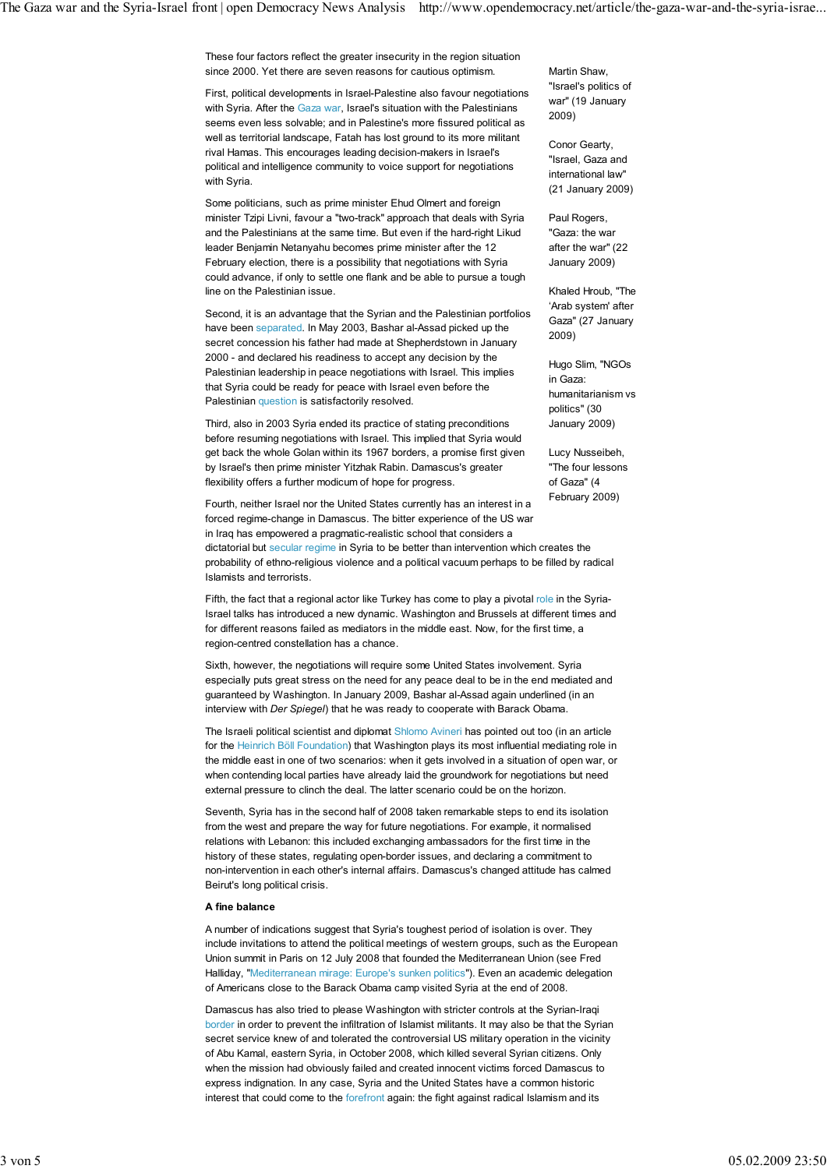These four factors reflect the greater insecurity in the region situation since 2000. Yet there are seven reasons for cautious optimism.

First, political developments in Israel-Palestine also favour negotiations with Syria. After the Gaza war, Israel's situation with the Palestinians seems even less solvable; and in Palestine's more fissured political as well as territorial landscape, Fatah has lost ground to its more militant rival Hamas. This encourages leading decision-makers in Israel's political and intelligence community to voice support for negotiations with Syria.

Some politicians, such as prime minister Ehud Olmert and foreign minister Tzipi Livni, favour a "two-track" approach that deals with Syria and the Palestinians at the same time. But even if the hard-right Likud leader Benjamin Netanyahu becomes prime minister after the 12 February election, there is a possibility that negotiations with Syria could advance, if only to settle one flank and be able to pursue a tough line on the Palestinian issue.

Second, it is an advantage that the Syrian and the Palestinian portfolios have been separated. In May 2003, Bashar al-Assad picked up the secret concession his father had made at Shepherdstown in January 2000 - and declared his readiness to accept any decision by the Palestinian leadership in peace negotiations with Israel. This implies that Syria could be ready for peace with Israel even before the Palestinian question is satisfactorily resolved.

Third, also in 2003 Syria ended its practice of stating preconditions before resuming negotiations with Israel. This implied that Syria would get back the whole Golan within its 1967 borders, a promise first given by Israel's then prime minister Yitzhak Rabin. Damascus's greater flexibility offers a further modicum of hope for progress.

Fourth, neither Israel nor the United States currently has an interest in a forced regime-change in Damascus. The bitter experience of the US war in Iraq has empowered a pragmatic-realistic school that considers a dictatorial but secular regime in Syria to be better than intervention which creates the probability of ethno-religious violence and a political vacuum perhaps to be filled by radical Islamists and terrorists.

Fifth, the fact that a regional actor like Turkey has come to play a pivotal role in the Syria-Israel talks has introduced a new dynamic. Washington and Brussels at different times and for different reasons failed as mediators in the middle east. Now, for the first time, a region-centred constellation has a chance.

Sixth, however, the negotiations will require some United States involvement. Syria especially puts great stress on the need for any peace deal to be in the end mediated and guaranteed by Washington. In January 2009, Bashar al-Assad again underlined (in an interview with *Der Spiegel*) that he was ready to cooperate with Barack Obama.

The Israeli political scientist and diplomat Shlomo Avineri has pointed out too (in an article for the Heinrich Böll Foundation) that Washington plays its most influential mediating role in the middle east in one of two scenarios: when it gets involved in a situation of open war, or when contending local parties have already laid the groundwork for negotiations but need external pressure to clinch the deal. The latter scenario could be on the horizon.

Seventh, Syria has in the second half of 2008 taken remarkable steps to end its isolation from the west and prepare the way for future negotiations. For example, it normalised relations with Lebanon: this included exchanging ambassadors for the first time in the history of these states, regulating open-border issues, and declaring a commitment to non-intervention in each other's internal affairs. Damascus's changed attitude has calmed Beirut's long political crisis.

### **A fine balance**

A number of indications suggest that Syria's toughest period of isolation is over. They include invitations to attend the political meetings of western groups, such as the European Union summit in Paris on 12 July 2008 that founded the Mediterranean Union (see Fred Halliday, "Mediterranean mirage: Europe's sunken politics"). Even an academic delegation of Americans close to the Barack Obama camp visited Syria at the end of 2008.

Damascus has also tried to please Washington with stricter controls at the Syrian-Iraqi border in order to prevent the infiltration of Islamist militants. It may also be that the Syrian secret service knew of and tolerated the controversial US military operation in the vicinity of Abu Kamal, eastern Syria, in October 2008, which killed several Syrian citizens. Only when the mission had obviously failed and created innocent victims forced Damascus to express indignation. In any case, Syria and the United States have a common historic interest that could come to the forefront again: the fight against radical Islamism and its

Martin Shaw, "Israel's politics of war" (19 January 2009)

Conor Gearty, "Israel, Gaza and international law" (21 January 2009)

Paul Rogers, "Gaza: the war after the war" (22 January 2009)

Khaled Hroub, "The 'Arab system' after Gaza" (27 January 2009)

Hugo Slim, "NGOs in Gaza: humanitarianism vs politics" (30 January 2009)

Lucy Nusseibeh, "The four lessons of Gaza" (4 February 2009)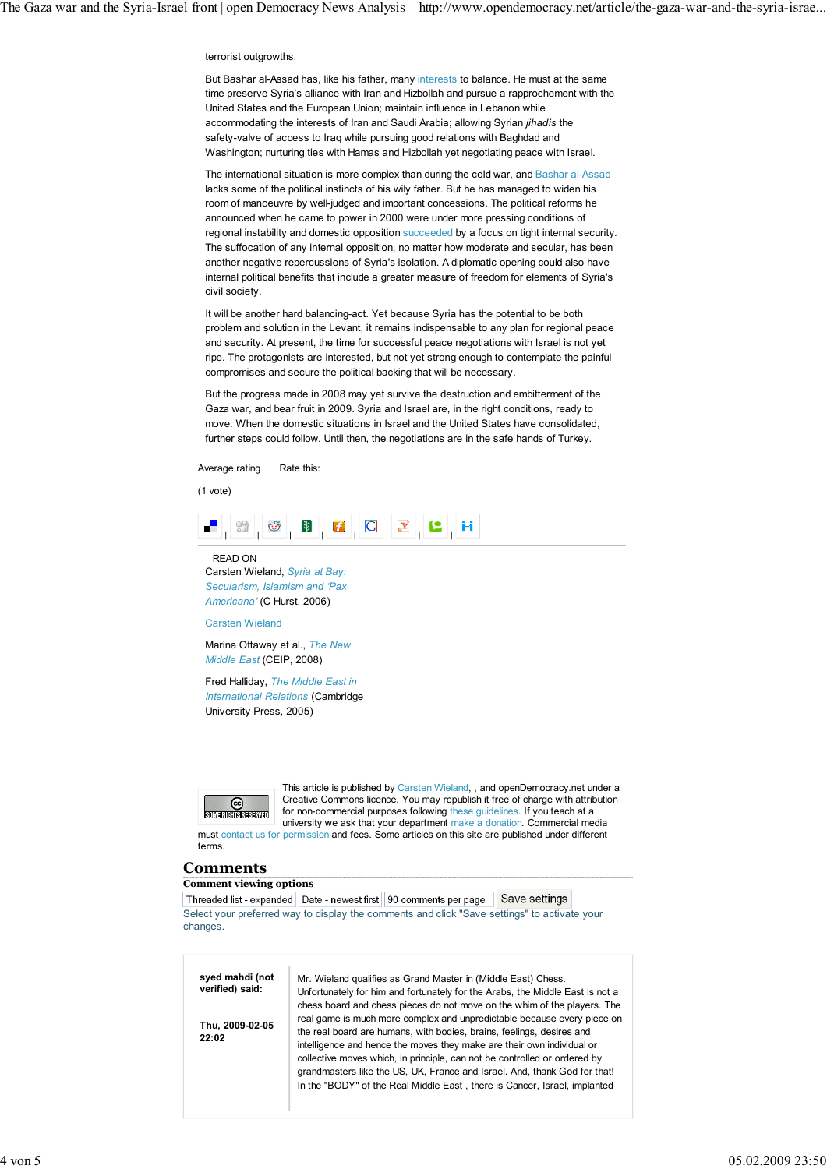#### terrorist outgrowths.

But Bashar al-Assad has, like his father, many interests to balance. He must at the same time preserve Syria's alliance with Iran and Hizbollah and pursue a rapprochement with the United States and the European Union; maintain influence in Lebanon while accommodating the interests of Iran and Saudi Arabia; allowing Syrian *jihadis* the safety-valve of access to Iraq while pursuing good relations with Baghdad and Washington; nurturing ties with Hamas and Hizbollah yet negotiating peace with Israel.

The international situation is more complex than during the cold war, and Bashar al-Assad lacks some of the political instincts of his wily father. But he has managed to widen his room of manoeuvre by well-judged and important concessions. The political reforms he announced when he came to power in 2000 were under more pressing conditions of regional instability and domestic opposition succeeded by a focus on tight internal security. The suffocation of any internal opposition, no matter how moderate and secular, has been another negative repercussions of Syria's isolation. A diplomatic opening could also have internal political benefits that include a greater measure of freedom for elements of Syria's civil society.

It will be another hard balancing-act. Yet because Syria has the potential to be both problem and solution in the Levant, it remains indispensable to any plan for regional peace and security. At present, the time for successful peace negotiations with Israel is not yet ripe. The protagonists are interested, but not yet strong enough to contemplate the painful compromises and secure the political backing that will be necessary.

But the progress made in 2008 may yet survive the destruction and embitterment of the Gaza war, and bear fruit in 2009. Syria and Israel are, in the right conditions, ready to move. When the domestic situations in Israel and the United States have consolidated, further steps could follow. Until then, the negotiations are in the safe hands of Turkey.

Average rating Rate this:

(1 vote)



READ ON Carsten Wieland, *Syria at Bay: Secularism, Islamism and 'Pax Americana'* (C Hurst, 2006)

Carsten Wieland

Marina Ottaway et al., *The New Middle East* (CEIP, 2008)

Fred Halliday, *The Middle East in International Relations* (Cambridge University Press, 2005)



This article is published by Carsten Wieland, , and openDemocracy.net under a Creative Commons licence. You may republish it free of charge with attribution for non-commercial purposes following these guidelines. If you teach at a university we ask that your department make a donation. Commercial media must contact us for permission and fees. Some articles on this site are published under different

# **Comments**

terms.

**Comment viewing options**

Threaded list - expanded | Date - newest first | 90 comments per page Ⅰ Save settings Select your preferred way to display the comments and click "Save settings" to activate your changes.

| syed mahdi (not<br>verified) said: | Mr. Wieland qualifies as Grand Master in (Middle East) Chess.<br>Unfortunately for him and fortunately for the Arabs, the Middle East is not a                                                                                                                                                                |
|------------------------------------|---------------------------------------------------------------------------------------------------------------------------------------------------------------------------------------------------------------------------------------------------------------------------------------------------------------|
| Thu, 2009-02-05<br>22:02           | chess board and chess pieces do not move on the whim of the players. The<br>real game is much more complex and unpredictable because every piece on<br>the real board are humans, with bodies, brains, feelings, desires and                                                                                  |
|                                    | intelligence and hence the moves they make are their own individual or<br>collective moves which, in principle, can not be controlled or ordered by<br>grandmasters like the US, UK, France and Israel. And, thank God for that!<br>In the "BODY" of the Real Middle East, there is Cancer, Israel, implanted |